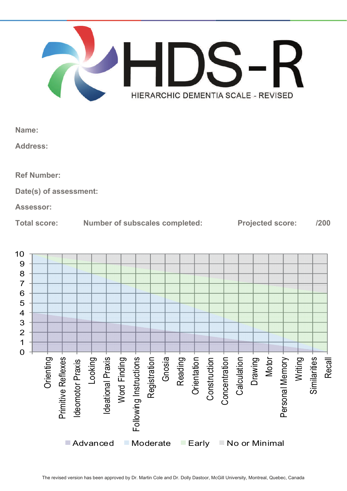

**Name:** 

**Address:** 

**Ref Number:** 

**Date(s) of assessment:** 

**Assessor:** 

**Total score: Number of subscales completed: Projected score: /200** 

10 9 8 7 6 5 4 3 2 1 0 Gnosia Reading Drawing Looking deational Praxis Word Finding Following Instructions Registration Concentration Motor Writing Recall **Orienting** Primitive Reflexes Orientation Construction Calculation Personal Memory Similarities Ideomotor<br>
Praxis Ideational Praxis Following Instructions Calculation Personal Memory Similarities Primitive Reflexes Word Finding Orientation **Construction Concentration** Ideomotor Praxis  $\blacksquare$  Advanced  $\blacksquare$  Moderate  $\blacksquare$  Early  $\blacksquare$  No or Minimal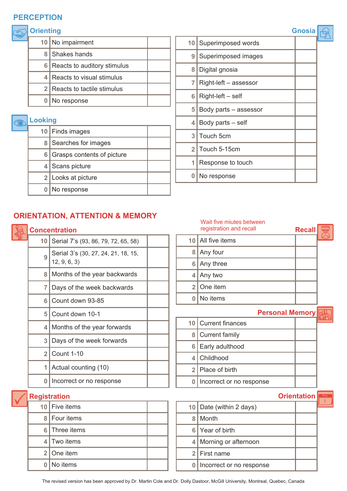#### **PERCEPTION**

#### **Orienting**

| 10 No impairment              |  |
|-------------------------------|--|
| 8 Shakes hands                |  |
| 6 Reacts to auditory stimulus |  |
| 4 Reacts to visual stimulus   |  |
| 2 Reacts to tactile stimulus  |  |
| No response                   |  |
|                               |  |

#### **Looking**

| LUUNIIU        |                            |  |
|----------------|----------------------------|--|
|                | 10   Finds images          |  |
|                | 8 Searches for images      |  |
| 6 <sup>1</sup> | Grasps contents of picture |  |
|                | 4 Scans picture            |  |
|                | 2   Looks at picture       |  |
|                | No response                |  |

| 10             | Superimposed words    |  |
|----------------|-----------------------|--|
| 9              | Superimposed images   |  |
| 8              | Digital gnosia        |  |
| 7              | Right-left - assessor |  |
| 6              | Right-left – self     |  |
| 5              | Body parts – assessor |  |
| 4              | Body parts - self     |  |
| 3              | Touch 5cm             |  |
| $\overline{2}$ | Touch 5-15cm          |  |
| 1              | Response to touch     |  |
| 0              | No response           |  |

## **ORIENTATION, ATTENTION & MEMORY**

## **Concentration**

| 10             | Serial 7's (93, 86, 79, 72, 65, 58)                |  |
|----------------|----------------------------------------------------|--|
| 9              | Serial 3's (30, 27, 24, 21, 18, 15,<br>12, 9, 6, 3 |  |
| 8              | Months of the year backwards                       |  |
| 7              | Days of the week backwards                         |  |
| 6              | Count down 93-85                                   |  |
| 5              | Count down 10-1                                    |  |
| 4              | Months of the year forwards                        |  |
| 3              | Days of the week forwards                          |  |
| $\overline{2}$ | <b>Count 1-10</b>                                  |  |
| 1              | Actual counting (10)                               |  |
| 0              | Incorrect or no response                           |  |
|                |                                                    |  |

# Wait five miutes between

|   | <u>VVAILIIVE IIIIULES DELWEEIT</u><br>registration and recall | <b>Recall</b> |  |
|---|---------------------------------------------------------------|---------------|--|
|   | 10 All five items                                             |               |  |
|   | 8 Any four                                                    |               |  |
|   | 6 Any three                                                   |               |  |
| 4 | Any two                                                       |               |  |
|   | 2 One item                                                    |               |  |
|   | No items                                                      |               |  |
|   |                                                               |               |  |

|   | <b>Personal Memory</b>   |  |
|---|--------------------------|--|
|   | 10 Current finances      |  |
| 8 | <b>Current family</b>    |  |
|   | 6 Early adulthood        |  |
| 4 | Childhood                |  |
|   | 2 Place of birth         |  |
| 0 | Incorrect or no response |  |

| <b>Registration</b> |                |  |
|---------------------|----------------|--|
|                     | 10 Five items  |  |
|                     | 8   Four items |  |
|                     | 6 Three items  |  |
|                     | 4 Two items    |  |
|                     | 2 One item     |  |
|                     | No items       |  |

|     | <b>Orientation</b>       |  |
|-----|--------------------------|--|
| 10  | Date (within 2 days)     |  |
| 8   | Month                    |  |
| 6 I | Year of birth            |  |
| 4   | Morning or afternoon     |  |
|     | 2 First name             |  |
|     | Incorrect or no response |  |

**Gnosia** 

The revised version has been approved by Dr. Martin Cole and Dr. Dolly Dastoor, McGill University, Montreal, Quebec, Canada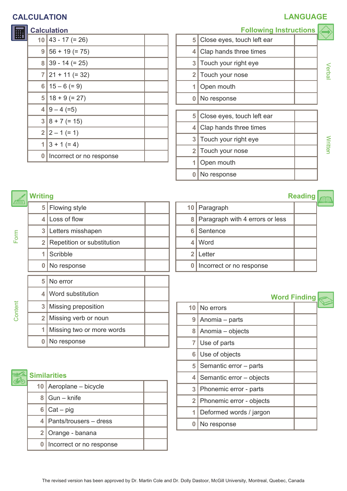#### **CALCULATION**

#### **Calculation**

|   | $10$ 43 - 17 (= 26)      |
|---|--------------------------|
| 9 | $ 56 + 19 (= 75)$        |
| 8 | $39 - 14 (= 25)$         |
|   | $7 21 + 11 (= 32)$       |
| 6 | $15 - 6 (= 9)$           |
| 5 | $18 + 9 (= 27)$          |
| 4 | $ 9 - 4 (=5)$            |
| 3 | $8 + 7 (= 15)$           |
|   | $2 2-1 (= 1)$            |
| 1 | $3 + 1 (= 4)$            |
| 0 | Incorrect or no response |
|   |                          |

|                | <b>Following Instructions</b> |                |
|----------------|-------------------------------|----------------|
| 5              | Close eyes, touch left ear    |                |
| 4              | Clap hands three times        |                |
| 3              | Touch your right eye          |                |
| $\overline{2}$ | Touch your nose               | Verba          |
| 1              | Open mouth                    |                |
| 0              | No response                   |                |
|                |                               |                |
| 5              | Close eyes, touch left ear    |                |
| 4              | Clap hands three times        |                |
| 3              | Touch your right eye          | <b>Vritter</b> |
| $\overline{2}$ | Touch your nose               |                |
| 1              | Open mouth                    |                |
|                | No response                   |                |
|                |                               |                |

| <b>Writing</b> |                            |
|----------------|----------------------------|
| 5              | Flowing style              |
| 4              | Loss of flow               |
| 3              | Letters misshapen          |
| 2              | Repetition or substitution |
| 1              | Scribble                   |
| 0              | No response                |
| 5              | No error                   |
| 4              | Word substitution          |
| 3              | Missing preposition        |
| $\overline{2}$ | Missing verb or noun       |
| 1              | Missing two or more words  |
|                | No response                |

|   | 10 Paragraph                        |  |
|---|-------------------------------------|--|
|   | 8   Paragraph with 4 errors or less |  |
|   | 6 Sentence                          |  |
| 4 | Word                                |  |
|   | $2$ Letter                          |  |
| 0 | Incorrect or no response            |  |
|   |                                     |  |

# No errors Anomia – parts Anomia – objects Use of parts Use of objects Semantic error – parts Semantic error – objects Phonemic error - parts Phonemic error - objects Deformed words / jargon No response **Word Finding**

Content

Form

|              | <b>Similarities</b>          |  |  |  |  |  |  |
|--------------|------------------------------|--|--|--|--|--|--|
|              | 10   Aeroplane $-$ bicycle   |  |  |  |  |  |  |
|              | Gun - knife                  |  |  |  |  |  |  |
| 6            | $ Cat - pig$                 |  |  |  |  |  |  |
|              | 4   Pants/trousers $-$ dress |  |  |  |  |  |  |
| $\mathbf{2}$ | Orange - banana              |  |  |  |  |  |  |
| 0            | Incorrect or no response     |  |  |  |  |  |  |

#### **LANGUAGE**

**Reading**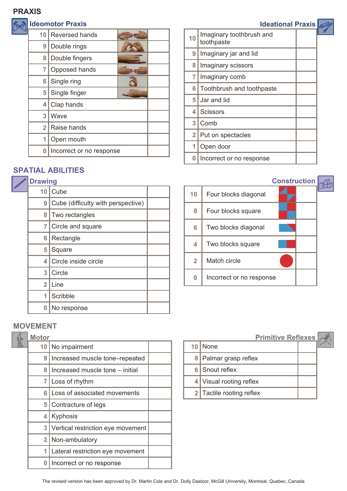#### **PRAXIS**

| 10             | Reversed hands           |  |  |
|----------------|--------------------------|--|--|
| 9              | Double rings             |  |  |
| 8              | Double fingers           |  |  |
| $\overline{7}$ | Opposed hands            |  |  |
| 6              | Single ring              |  |  |
| 5              | Single finger            |  |  |
| 4              | Clap hands               |  |  |
| 3              | Wave                     |  |  |
| $\overline{2}$ | Raise hands              |  |  |
| 1              | Open mouth               |  |  |
| 0              | Incorrect or no response |  |  |
|                |                          |  |  |

# **SPATIAL ABILITIES**

| <b>Drawing</b> |                                    |  |
|----------------|------------------------------------|--|
| 10             | Cube                               |  |
| 9              | Cube (difficulty with perspective) |  |
| 8              | Two rectangles                     |  |
| 7              | Circle and square                  |  |
| 6              | Rectangle                          |  |
| 5              | Square                             |  |
| 4              | Circle inside circle               |  |
| 3              | Circle                             |  |
| $\overline{2}$ | Line                               |  |
| 1              | Scribble                           |  |
| 0              | No response                        |  |

## **MOVEMENT**

| <b>Motor</b> |                                   |  |
|--------------|-----------------------------------|--|
| 10           | No impairment                     |  |
| 9            | Increased muscle tone-repeated    |  |
| 8            | Increased muscle tone – initial   |  |
| 7            | Loss of rhythm                    |  |
| 6            | Loss of associated movements      |  |
| 5            | Contracture of legs               |  |
| 4            | Kyphosis                          |  |
| 3            | Vertical restriction eye movement |  |
| 2            | Non-ambulatory                    |  |
| 1            | Lateral restriction eye movement  |  |
| 0            | Incorrect or no response          |  |

|    | <b>Ideomotor Praxis</b>  |                | <b>Ideational Praxis</b>  |
|----|--------------------------|----------------|---------------------------|
| 10 | Reversed hands           | 10             | Imaginary toothbrush and  |
| 9  | Double rings             |                | toothpaste                |
| 8  | Double fingers           | 9              | Imaginary jar and lid     |
|    | Opposed hands            | 8              | Imaginary scissors        |
|    |                          |                | Imaginary comb            |
| 6  | Single ring              | 6              | Toothbrush and toothpaste |
| 5  | Single finger            |                |                           |
| 4  | Clap hands               | 5              | Jar and lid               |
| 3  | Wave                     | 4              | <b>Scissors</b>           |
|    |                          | 3              | Comb                      |
| 2  | Raise hands              |                |                           |
|    | Open mouth               | 2 <sub>1</sub> | Put on spectacles         |
| 0  | Incorrect or no response |                | Open door                 |
|    |                          |                | Incorrect or no response  |

# **Construction** ¶₩ 10 | Four blocks diagonal Four blocks square Two blocks diagonal Two blocks square Match circle Incorrect or no response

| <b>Primitive Reflexes</b> |  |  |  |  |  |  |  |  |
|---------------------------|--|--|--|--|--|--|--|--|
| 10<br>∣None               |  |  |  |  |  |  |  |  |
| 8   Palmar grasp reflex   |  |  |  |  |  |  |  |  |
| 6 Snout reflex            |  |  |  |  |  |  |  |  |
| 4 Visual rooting reflex   |  |  |  |  |  |  |  |  |
| 2 Tactile rooting reflex  |  |  |  |  |  |  |  |  |

The revised version has been approved by Dr. Martin Cole and Dr. Dolly Dastoor, McGill University, Montreal, Quebec, Canada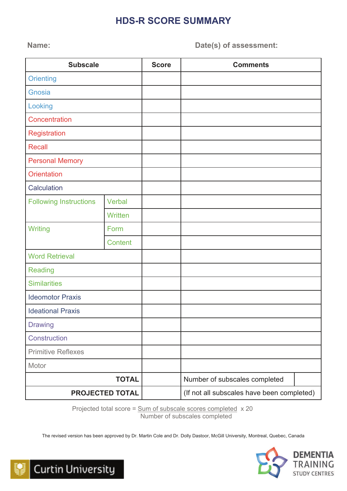# **HDS-R SCORE SUMMARY**

#### **Name: Date(s) of assessment:**

| <b>Subscale</b>               |                        | <b>Score</b> | <b>Comments</b>                            |  |  |  |  |
|-------------------------------|------------------------|--------------|--------------------------------------------|--|--|--|--|
| <b>Orienting</b>              |                        |              |                                            |  |  |  |  |
| Gnosia                        |                        |              |                                            |  |  |  |  |
| Looking                       |                        |              |                                            |  |  |  |  |
| Concentration                 |                        |              |                                            |  |  |  |  |
| Registration                  |                        |              |                                            |  |  |  |  |
| <b>Recall</b>                 |                        |              |                                            |  |  |  |  |
| <b>Personal Memory</b>        |                        |              |                                            |  |  |  |  |
| <b>Orientation</b>            |                        |              |                                            |  |  |  |  |
| Calculation                   |                        |              |                                            |  |  |  |  |
| <b>Following Instructions</b> | Verbal                 |              |                                            |  |  |  |  |
|                               | Written                |              |                                            |  |  |  |  |
| Writing                       | Form                   |              |                                            |  |  |  |  |
|                               | Content                |              |                                            |  |  |  |  |
| <b>Word Retrieval</b>         |                        |              |                                            |  |  |  |  |
| Reading                       |                        |              |                                            |  |  |  |  |
| <b>Similarities</b>           |                        |              |                                            |  |  |  |  |
| <b>Ideomotor Praxis</b>       |                        |              |                                            |  |  |  |  |
| <b>Ideational Praxis</b>      |                        |              |                                            |  |  |  |  |
| <b>Drawing</b>                |                        |              |                                            |  |  |  |  |
| Construction                  |                        |              |                                            |  |  |  |  |
| <b>Primitive Reflexes</b>     |                        |              |                                            |  |  |  |  |
| Motor                         |                        |              |                                            |  |  |  |  |
|                               | <b>TOTAL</b>           |              | Number of subscales completed              |  |  |  |  |
|                               | <b>PROJECTED TOTAL</b> |              | (If not all subscales have been completed) |  |  |  |  |

Projected total score = Sum of subscale scores completed x 20 Number of subscales completed

The revised version has been approved by Dr. Martin Cole and Dr. Dolly Dastoor, McGill University, Montreal, Quebec, Canada